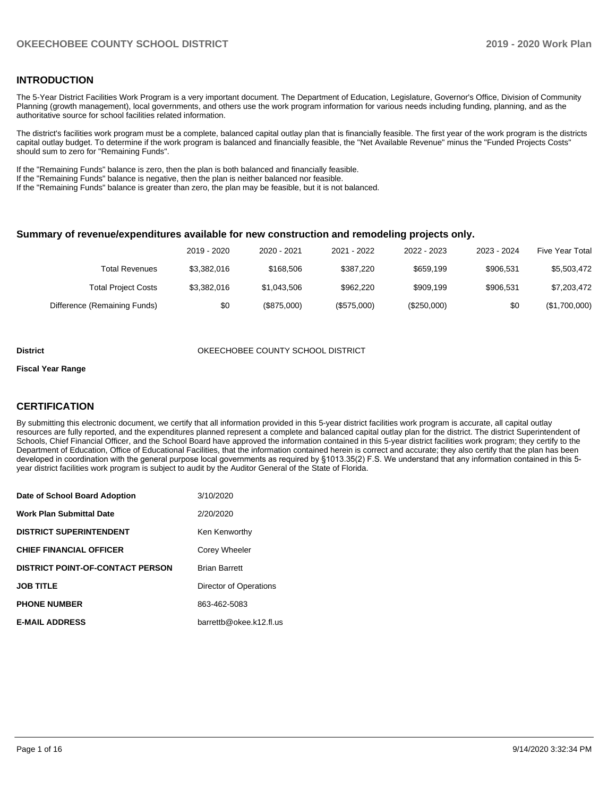## **INTRODUCTION**

The 5-Year District Facilities Work Program is a very important document. The Department of Education, Legislature, Governor's Office, Division of Community Planning (growth management), local governments, and others use the work program information for various needs including funding, planning, and as the authoritative source for school facilities related information.

The district's facilities work program must be a complete, balanced capital outlay plan that is financially feasible. The first year of the work program is the districts capital outlay budget. To determine if the work program is balanced and financially feasible, the "Net Available Revenue" minus the "Funded Projects Costs" should sum to zero for "Remaining Funds".

If the "Remaining Funds" balance is zero, then the plan is both balanced and financially feasible.

If the "Remaining Funds" balance is negative, then the plan is neither balanced nor feasible.

If the "Remaining Funds" balance is greater than zero, the plan may be feasible, but it is not balanced.

#### **Summary of revenue/expenditures available for new construction and remodeling projects only.**

| Five Year Total | 2023 - 2024 | 2022 - 2023 | 2021 - 2022 | 2020 - 2021 | 2019 - 2020 |                              |
|-----------------|-------------|-------------|-------------|-------------|-------------|------------------------------|
| \$5,503,472     | \$906.531   | \$659.199   | \$387.220   | \$168,506   | \$3.382.016 | Total Revenues               |
| \$7,203,472     | \$906.531   | \$909.199   | \$962.220   | \$1.043.506 | \$3,382,016 | <b>Total Project Costs</b>   |
| (\$1,700,000)   | \$0         | (\$250,000) | (\$575,000) | (\$875,000) | \$0         | Difference (Remaining Funds) |

#### **District COUNTY SCHOOL DISTRICT** OKEECHOBEE COUNTY SCHOOL DISTRICT

#### **Fiscal Year Range**

## **CERTIFICATION**

By submitting this electronic document, we certify that all information provided in this 5-year district facilities work program is accurate, all capital outlay resources are fully reported, and the expenditures planned represent a complete and balanced capital outlay plan for the district. The district Superintendent of Schools, Chief Financial Officer, and the School Board have approved the information contained in this 5-year district facilities work program; they certify to the Department of Education, Office of Educational Facilities, that the information contained herein is correct and accurate; they also certify that the plan has been developed in coordination with the general purpose local governments as required by §1013.35(2) F.S. We understand that any information contained in this 5 year district facilities work program is subject to audit by the Auditor General of the State of Florida.

| Date of School Board Adoption           | 3/10/2020               |
|-----------------------------------------|-------------------------|
| Work Plan Submittal Date                | 2/20/2020               |
| <b>DISTRICT SUPERINTENDENT</b>          | Ken Kenworthy           |
| <b>CHIEF FINANCIAL OFFICER</b>          | Corey Wheeler           |
| <b>DISTRICT POINT-OF-CONTACT PERSON</b> | <b>Brian Barrett</b>    |
| <b>JOB TITLE</b>                        | Director of Operations  |
| <b>PHONE NUMBER</b>                     | 863-462-5083            |
| <b>E-MAIL ADDRESS</b>                   | barrettb@okee.k12.fl.us |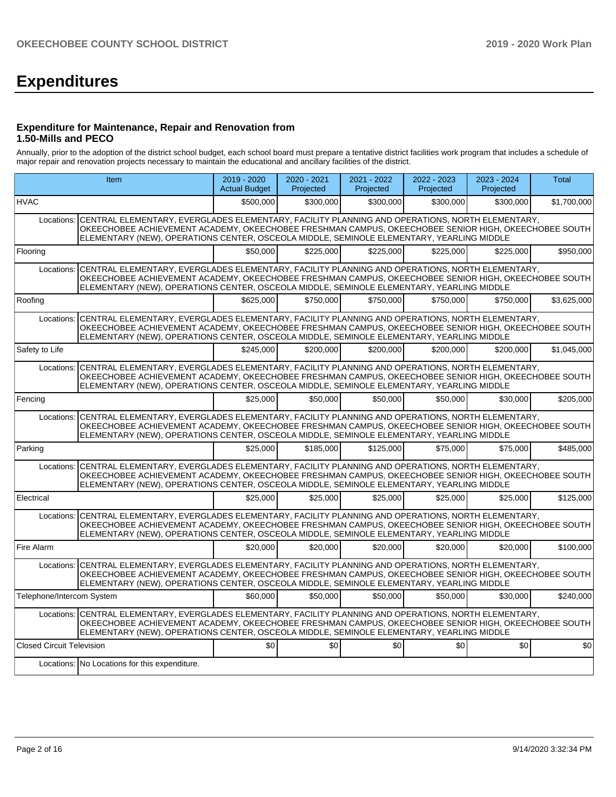# **Expenditures**

### **Expenditure for Maintenance, Repair and Renovation from 1.50-Mills and PECO**

Annually, prior to the adoption of the district school budget, each school board must prepare a tentative district facilities work program that includes a schedule of major repair and renovation projects necessary to maintain the educational and ancillary facilities of the district.

|                                  | <b>Item</b>                                                                                                                                                                                                                                                                                                     | $2019 - 2020$<br><b>Actual Budget</b> | 2020 - 2021<br>Projected | $2021 - 2022$<br>Projected | 2022 - 2023<br>Projected | 2023 - 2024<br>Projected | <b>Total</b> |
|----------------------------------|-----------------------------------------------------------------------------------------------------------------------------------------------------------------------------------------------------------------------------------------------------------------------------------------------------------------|---------------------------------------|--------------------------|----------------------------|--------------------------|--------------------------|--------------|
| <b>HVAC</b>                      |                                                                                                                                                                                                                                                                                                                 | \$500,000                             | \$300.000                | \$300,000                  | \$300,000                | \$300.000                | \$1,700,000  |
| Locations:                       | CENTRAL ELEMENTARY, EVERGLADES ELEMENTARY, FACILITY PLANNING AND OPERATIONS, NORTH ELEMENTARY,<br>OKEECHOBEE ACHIEVEMENT ACADEMY, OKEECHOBEE FRESHMAN CAMPUS, OKEECHOBEE SENIOR HIGH, OKEECHOBEE SOUTH<br>ELEMENTARY (NEW), OPERATIONS CENTER, OSCEOLA MIDDLE, SEMINOLE ELEMENTARY, YEARLING MIDDLE             |                                       |                          |                            |                          |                          |              |
| Flooring                         |                                                                                                                                                                                                                                                                                                                 | \$50,000                              | \$225,000                | \$225.000                  | \$225.000                | \$225,000                | \$950.000    |
|                                  | Locations: CENTRAL ELEMENTARY, EVERGLADES ELEMENTARY, FACILITY PLANNING AND OPERATIONS, NORTH ELEMENTARY,<br>OKEECHOBEE ACHIEVEMENT ACADEMY, OKEECHOBEE FRESHMAN CAMPUS, OKEECHOBEE SENIOR HIGH, OKEECHOBEE SOUTH<br>ELEMENTARY (NEW), OPERATIONS CENTER, OSCEOLA MIDDLE, SEMINOLE ELEMENTARY, YEARLING MIDDLE  |                                       |                          |                            |                          |                          |              |
| Roofing                          |                                                                                                                                                                                                                                                                                                                 | \$625,000                             | \$750,000                | \$750,000                  | \$750,000                | \$750,000                | \$3,625,000  |
| Locations:                       | CENTRAL ELEMENTARY, EVERGLADES ELEMENTARY, FACILITY PLANNING AND OPERATIONS, NORTH ELEMENTARY,<br>OKEECHOBEE ACHIEVEMENT ACADEMY. OKEECHOBEE FRESHMAN CAMPUS. OKEECHOBEE SENIOR HIGH. OKEECHOBEE SOUTH<br>ELEMENTARY (NEW), OPERATIONS CENTER, OSCEOLA MIDDLE, SEMINOLE ELEMENTARY, YEARLING MIDDLE             |                                       |                          |                            |                          |                          |              |
| Safety to Life                   |                                                                                                                                                                                                                                                                                                                 | \$245.000                             | \$200.000                | \$200.000                  | \$200.000                | \$200,000                | \$1,045,000  |
| Locations:                       | CENTRAL ELEMENTARY, EVERGLADES ELEMENTARY, FACILITY PLANNING AND OPERATIONS, NORTH ELEMENTARY,<br>OKEECHOBEE ACHIEVEMENT ACADEMY, OKEECHOBEE FRESHMAN CAMPUS, OKEECHOBEE SENIOR HIGH, OKEECHOBEE SOUTH<br>ELEMENTARY (NEW), OPERATIONS CENTER, OSCEOLA MIDDLE, SEMINOLE ELEMENTARY, YEARLING MIDDLE             |                                       |                          |                            |                          |                          |              |
| Fencing                          |                                                                                                                                                                                                                                                                                                                 | \$25,000                              | \$50,000                 | \$50,000                   | \$50,000                 | \$30,000                 | \$205,000    |
|                                  | Locations: ICENTRAL ELEMENTARY, EVERGLADES ELEMENTARY, FACILITY PLANNING AND OPERATIONS, NORTH ELEMENTARY,<br>OKEECHOBEE ACHIEVEMENT ACADEMY, OKEECHOBEE FRESHMAN CAMPUS, OKEECHOBEE SENIOR HIGH, OKEECHOBEE SOUTH<br>ELEMENTARY (NEW), OPERATIONS CENTER, OSCEOLA MIDDLE, SEMINOLE ELEMENTARY, YEARLING MIDDLE |                                       |                          |                            |                          |                          |              |
| Parking                          |                                                                                                                                                                                                                                                                                                                 | \$25,000                              | \$185,000                | \$125,000                  | \$75,000                 | \$75,000                 | \$485,000    |
| Locations:                       | CENTRAL ELEMENTARY, EVERGLADES ELEMENTARY, FACILITY PLANNING AND OPERATIONS, NORTH ELEMENTARY,<br>OKEECHOBEE ACHIEVEMENT ACADEMY, OKEECHOBEE FRESHMAN CAMPUS, OKEECHOBEE SENIOR HIGH, OKEECHOBEE SOUTH<br>ELEMENTARY (NEW), OPERATIONS CENTER, OSCEOLA MIDDLE, SEMINOLE ELEMENTARY, YEARLING MIDDLE             |                                       |                          |                            |                          |                          |              |
| Electrical                       |                                                                                                                                                                                                                                                                                                                 | \$25,000                              | \$25,000                 | \$25,000                   | \$25,000                 | \$25,000                 | \$125,000    |
|                                  | Locations: CENTRAL ELEMENTARY, EVERGLADES ELEMENTARY, FACILITY PLANNING AND OPERATIONS, NORTH ELEMENTARY,<br>OKEECHOBEE ACHIEVEMENT ACADEMY, OKEECHOBEE FRESHMAN CAMPUS, OKEECHOBEE SENIOR HIGH, OKEECHOBEE SOUTH<br>ELEMENTARY (NEW), OPERATIONS CENTER, OSCEOLA MIDDLE, SEMINOLE ELEMENTARY, YEARLING MIDDLE  |                                       |                          |                            |                          |                          |              |
| Fire Alarm                       |                                                                                                                                                                                                                                                                                                                 | \$20,000                              | \$20,000                 | \$20,000                   | \$20,000                 | \$20,000                 | \$100,000    |
|                                  | Locations: CENTRAL ELEMENTARY, EVERGLADES ELEMENTARY, FACILITY PLANNING AND OPERATIONS, NORTH ELEMENTARY,<br>OKEECHOBEE ACHIEVEMENT ACADEMY, OKEECHOBEE FRESHMAN CAMPUS, OKEECHOBEE SENIOR HIGH, OKEECHOBEE SOUTH<br>ELEMENTARY (NEW), OPERATIONS CENTER, OSCEOLA MIDDLE, SEMINOLE ELEMENTARY, YEARLING MIDDLE  |                                       |                          |                            |                          |                          |              |
| Telephone/Intercom System        |                                                                                                                                                                                                                                                                                                                 | \$60,000                              | \$50,000                 | \$50,000                   | \$50,000                 | \$30,000                 | \$240,000    |
|                                  | Locations: CENTRAL ELEMENTARY, EVERGLADES ELEMENTARY, FACILITY PLANNING AND OPERATIONS, NORTH ELEMENTARY,<br>OKEECHOBEE ACHIEVEMENT ACADEMY, OKEECHOBEE FRESHMAN CAMPUS, OKEECHOBEE SENIOR HIGH, OKEECHOBEE SOUTH<br>ELEMENTARY (NEW), OPERATIONS CENTER, OSCEOLA MIDDLE, SEMINOLE ELEMENTARY, YEARLING MIDDLE  |                                       |                          |                            |                          |                          |              |
| <b>Closed Circuit Television</b> |                                                                                                                                                                                                                                                                                                                 | \$0                                   | \$0                      | \$0                        | \$0                      | \$0                      | \$0          |
|                                  | Locations: No Locations for this expenditure.                                                                                                                                                                                                                                                                   |                                       |                          |                            |                          |                          |              |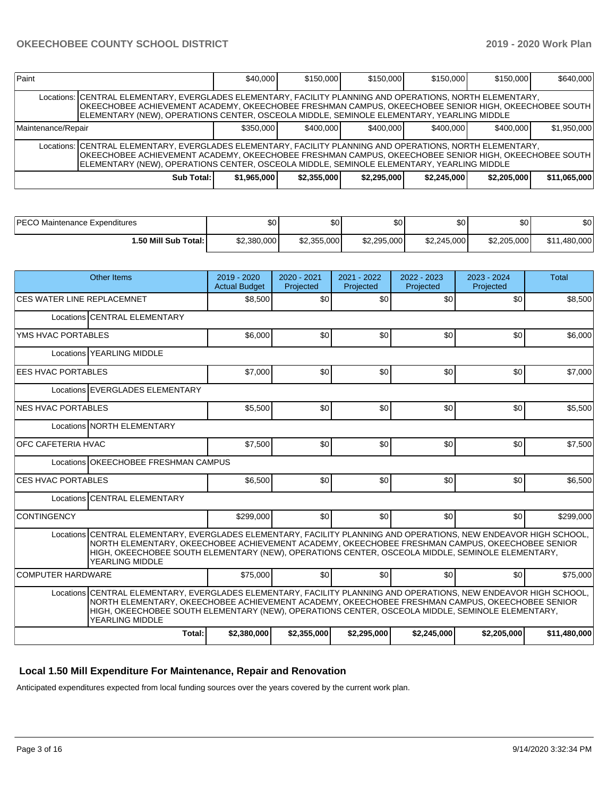| Paint                                                                                                                                                                                                                                                                                                           |                                                                                                                                                                                                                                                                                                                | \$40,000    | \$150,000   | \$150,000   | \$150,000   | \$150,000   | \$640,000    |  |  |
|-----------------------------------------------------------------------------------------------------------------------------------------------------------------------------------------------------------------------------------------------------------------------------------------------------------------|----------------------------------------------------------------------------------------------------------------------------------------------------------------------------------------------------------------------------------------------------------------------------------------------------------------|-------------|-------------|-------------|-------------|-------------|--------------|--|--|
|                                                                                                                                                                                                                                                                                                                 | Locations: CENTRAL ELEMENTARY, EVERGLADES ELEMENTARY, FACILITY PLANNING AND OPERATIONS, NORTH ELEMENTARY,<br>OKEECHOBEE ACHIEVEMENT ACADEMY, OKEECHOBEE FRESHMAN CAMPUS, OKEECHOBEE SENIOR HIGH, OKEECHOBEE SOUTH<br>ELEMENTARY (NEW), OPERATIONS CENTER, OSCEOLA MIDDLE, SEMINOLE ELEMENTARY, YEARLING MIDDLE |             |             |             |             |             |              |  |  |
| Maintenance/Repair                                                                                                                                                                                                                                                                                              |                                                                                                                                                                                                                                                                                                                | \$350,000   | \$400,000   | \$400,000   | \$400.000   | \$400,000   | \$1,950,000  |  |  |
| Locations: CENTRAL ELEMENTARY, EVERGLADES ELEMENTARY, FACILITY PLANNING AND OPERATIONS, NORTH ELEMENTARY,<br> OKEECHOBEE ACHIEVEMENT ACADEMY, OKEECHOBEE FRESHMAN CAMPUS, OKEECHOBEE SENIOR HIGH, OKEECHOBEE SOUTH<br>ELEMENTARY (NEW), OPERATIONS CENTER, OSCEOLA MIDDLE, SEMINOLE ELEMENTARY, YEARLING MIDDLE |                                                                                                                                                                                                                                                                                                                |             |             |             |             |             |              |  |  |
|                                                                                                                                                                                                                                                                                                                 | Sub Total:                                                                                                                                                                                                                                                                                                     | \$1,965,000 | \$2,355,000 | \$2,295,000 | \$2,245,000 | \$2,205,000 | \$11,065,000 |  |  |

| PECO Maintenance Expenditures | \$0         | ሖጣ<br>Ψ∪    | ሶሳ<br>υŒ    | ሶሳ<br>w     | ¢Λ<br>υU    | ድሰ<br>JU.        |
|-------------------------------|-------------|-------------|-------------|-------------|-------------|------------------|
| 1.50 Mill Sub Total:          | \$2,380,000 | \$2,355,000 | \$2,295,000 | \$2,245,000 | \$2,205,000 | .480,000<br>\$11 |

|                                   | Other Items                                                                                                                                                                                                                                                                                                                                 | 2019 - 2020<br><b>Actual Budget</b> | $2020 - 2021$<br>Projected | $2021 - 2022$<br>Projected | $2022 - 2023$<br>Projected | $2023 - 2024$<br>Projected | <b>Total</b> |  |  |  |
|-----------------------------------|---------------------------------------------------------------------------------------------------------------------------------------------------------------------------------------------------------------------------------------------------------------------------------------------------------------------------------------------|-------------------------------------|----------------------------|----------------------------|----------------------------|----------------------------|--------------|--|--|--|
| <b>CES WATER LINE REPLACEMNET</b> |                                                                                                                                                                                                                                                                                                                                             | \$8,500                             | \$0                        | \$0                        | \$0                        | \$0                        | \$8.500      |  |  |  |
|                                   | Locations CENTRAL ELEMENTARY                                                                                                                                                                                                                                                                                                                |                                     |                            |                            |                            |                            |              |  |  |  |
| YMS HVAC PORTABLES                |                                                                                                                                                                                                                                                                                                                                             | \$6,000                             | \$0                        | \$0                        | \$0                        | \$0                        | \$6,000      |  |  |  |
|                                   | Locations YEARLING MIDDLE                                                                                                                                                                                                                                                                                                                   |                                     |                            |                            |                            |                            |              |  |  |  |
| <b>EES HVAC PORTABLES</b>         |                                                                                                                                                                                                                                                                                                                                             | \$7,000                             | \$0                        | \$0                        | \$0                        | \$0                        | \$7,000      |  |  |  |
|                                   | Locations EVERGLADES ELEMENTARY                                                                                                                                                                                                                                                                                                             |                                     |                            |                            |                            |                            |              |  |  |  |
| <b>NES HVAC PORTABLES</b>         |                                                                                                                                                                                                                                                                                                                                             | \$5,500                             | \$0                        | \$0                        | \$0                        | \$0 <sub>1</sub>           | \$5,500      |  |  |  |
|                                   | Locations NORTH ELEMENTARY                                                                                                                                                                                                                                                                                                                  |                                     |                            |                            |                            |                            |              |  |  |  |
| <b>OFC CAFETERIA HVAC</b>         |                                                                                                                                                                                                                                                                                                                                             | \$7,500                             | \$0                        | \$0                        | \$0                        | \$0                        | \$7,500      |  |  |  |
|                                   | Locations OKEECHOBEE FRESHMAN CAMPUS                                                                                                                                                                                                                                                                                                        |                                     |                            |                            |                            |                            |              |  |  |  |
| <b>ICES HVAC PORTABLES</b>        |                                                                                                                                                                                                                                                                                                                                             | \$6,500                             | \$0                        | \$0                        | \$0                        | \$0                        | \$6,500      |  |  |  |
|                                   | Locations CENTRAL ELEMENTARY                                                                                                                                                                                                                                                                                                                |                                     |                            |                            |                            |                            |              |  |  |  |
| <b>CONTINGENCY</b>                |                                                                                                                                                                                                                                                                                                                                             | \$299,000                           | \$0                        | \$0                        | \$0                        | \$0                        | \$299,000    |  |  |  |
|                                   | Locations CENTRAL ELEMENTARY, EVERGLADES ELEMENTARY, FACILITY PLANNING AND OPERATIONS, NEW ENDEAVOR HIGH SCHOOL,<br>NORTH ELEMENTARY, OKEECHOBEE ACHIEVEMENT ACADEMY, OKEECHOBEE FRESHMAN CAMPUS, OKEECHOBEE SENIOR<br>HIGH, OKEECHOBEE SOUTH ELEMENTARY (NEW), OPERATIONS CENTER, OSCEOLA MIDDLE, SEMINOLE ELEMENTARY,<br>YEARLING MIDDLE  |                                     |                            |                            |                            |                            |              |  |  |  |
| COMPUTER HARDWARE                 |                                                                                                                                                                                                                                                                                                                                             | \$75,000                            | \$0                        | \$0                        | \$0                        | \$0 <sub>1</sub>           | \$75,000     |  |  |  |
|                                   | Locations CENTRAL ELEMENTARY, EVERGLADES ELEMENTARY, FACILITY PLANNING AND OPERATIONS, NEW ENDEAVOR HIGH SCHOOL,<br>INORTH ELEMENTARY. OKEECHOBEE ACHIEVEMENT ACADEMY. OKEECHOBEE FRESHMAN CAMPUS. OKEECHOBEE SENIOR<br>HIGH, OKEECHOBEE SOUTH ELEMENTARY (NEW), OPERATIONS CENTER, OSCEOLA MIDDLE, SEMINOLE ELEMENTARY,<br>YEARLING MIDDLE |                                     |                            |                            |                            |                            |              |  |  |  |
|                                   | Total:                                                                                                                                                                                                                                                                                                                                      | \$2,295,000                         | \$2,245,000                | \$2,205,000                | \$11,480,000               |                            |              |  |  |  |

## **Local 1.50 Mill Expenditure For Maintenance, Repair and Renovation**

Anticipated expenditures expected from local funding sources over the years covered by the current work plan.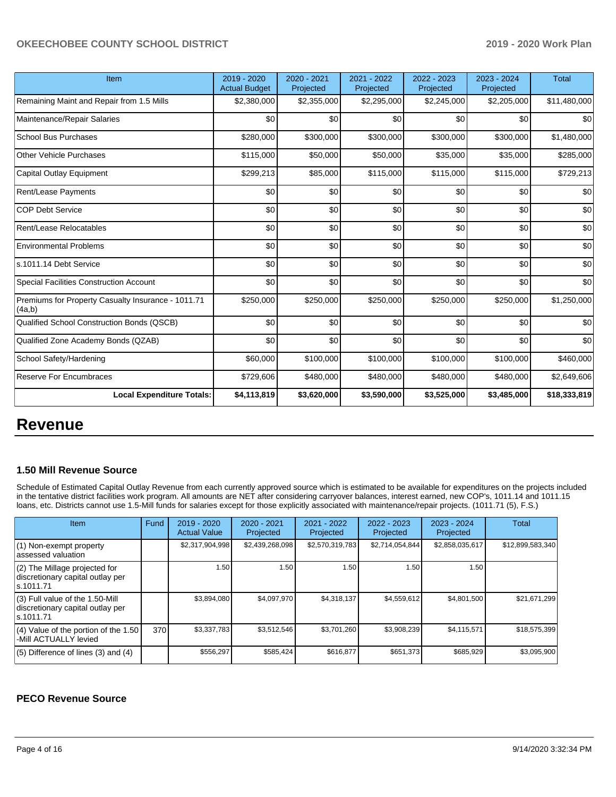| Item                                                         | 2019 - 2020<br><b>Actual Budget</b> | 2020 - 2021<br>Projected | 2021 - 2022<br>Projected | 2022 - 2023<br>Projected | 2023 - 2024<br>Projected | <b>Total</b> |
|--------------------------------------------------------------|-------------------------------------|--------------------------|--------------------------|--------------------------|--------------------------|--------------|
| Remaining Maint and Repair from 1.5 Mills                    | \$2,380,000                         | \$2,355,000              | \$2,295,000              | \$2,245,000              | \$2,205,000              | \$11,480,000 |
| Maintenance/Repair Salaries                                  | \$0                                 | \$0                      | \$0                      | \$0                      | \$0                      | \$0          |
| <b>School Bus Purchases</b>                                  | \$280,000                           | \$300,000                | \$300,000                | \$300,000                | \$300,000                | \$1,480,000  |
| <b>Other Vehicle Purchases</b>                               | \$115,000                           | \$50,000                 | \$50,000                 | \$35,000                 | \$35,000                 | \$285,000    |
| Capital Outlay Equipment                                     | \$299,213                           | \$85,000                 | \$115,000                | \$115,000                | \$115,000                | \$729,213    |
| <b>Rent/Lease Payments</b>                                   | \$0                                 | \$0                      | \$0                      | \$0                      | \$0                      | \$0          |
| <b>COP Debt Service</b>                                      | \$0                                 | \$0                      | \$0                      | \$0                      | \$0                      | \$0          |
| Rent/Lease Relocatables                                      | \$0                                 | \$0                      | \$0                      | \$0                      | \$0                      | \$0          |
| <b>Environmental Problems</b>                                | \$0                                 | \$0                      | \$0                      | \$0                      | \$0                      | \$0          |
| ls.1011.14 Debt Service                                      | \$0                                 | \$0                      | \$0                      | \$0                      | \$0                      | \$0          |
| Special Facilities Construction Account                      | \$0                                 | \$0                      | \$0                      | \$0                      | \$0                      | \$0          |
| Premiums for Property Casualty Insurance - 1011.71<br>(4a,b) | \$250,000                           | \$250,000                | \$250,000                | \$250,000                | \$250,000                | \$1,250,000  |
| Qualified School Construction Bonds (QSCB)                   | \$0                                 | \$0                      | \$0                      | \$0                      | \$0                      | \$0          |
| Qualified Zone Academy Bonds (QZAB)                          | \$0                                 | \$0                      | \$0                      | \$0                      | \$0                      | \$0          |
| School Safety/Hardening                                      | \$60,000                            | \$100,000                | \$100,000                | \$100,000                | \$100,000                | \$460,000    |
| Reserve For Encumbraces                                      | \$729,606                           | \$480,000                | \$480,000                | \$480,000                | \$480,000                | \$2,649,606  |
| <b>Local Expenditure Totals:</b>                             | \$4,113,819                         | \$3,620,000              | \$3,590,000              | \$3,525,000              | \$3,485,000              | \$18,333,819 |

## **Revenue**

### **1.50 Mill Revenue Source**

Schedule of Estimated Capital Outlay Revenue from each currently approved source which is estimated to be available for expenditures on the projects included in the tentative district facilities work program. All amounts are NET after considering carryover balances, interest earned, new COP's, 1011.14 and 1011.15 loans, etc. Districts cannot use 1.5-Mill funds for salaries except for those explicitly associated with maintenance/repair projects. (1011.71 (5), F.S.)

| <b>Item</b>                                                                         | Fund | $2019 - 2020$<br><b>Actual Value</b> | $2020 - 2021$<br>Projected | $2021 - 2022$<br>Projected | $2022 - 2023$<br>Projected | $2023 - 2024$<br>Projected | <b>Total</b>     |
|-------------------------------------------------------------------------------------|------|--------------------------------------|----------------------------|----------------------------|----------------------------|----------------------------|------------------|
| (1) Non-exempt property<br>lassessed valuation                                      |      | \$2,317,904,998                      | \$2,439,268,098            | \$2,570,319,783            | \$2,714,054,844            | \$2,858,035,617            | \$12,899,583,340 |
| $(2)$ The Millage projected for<br>discretionary capital outlay per<br>ls.1011.71   |      | 1.50                                 | 1.50                       | 1.50                       | 1.50                       | 1.50                       |                  |
| $(3)$ Full value of the 1.50-Mill<br>discretionary capital outlay per<br>ls.1011.71 |      | \$3.894.080                          | \$4.097.970                | \$4.318.137                | \$4,559,612                | \$4.801.500                | \$21.671.299     |
| $(4)$ Value of the portion of the 1.50<br>-Mill ACTUALLY levied                     | 370  | \$3,337,783                          | \$3,512,546                | \$3,701,260                | \$3,908,239                | \$4,115,571                | \$18,575,399     |
| $(5)$ Difference of lines $(3)$ and $(4)$                                           |      | \$556,297                            | \$585,424                  | \$616,877                  | \$651,373                  | \$685,929                  | \$3,095,900      |

### **PECO Revenue Source**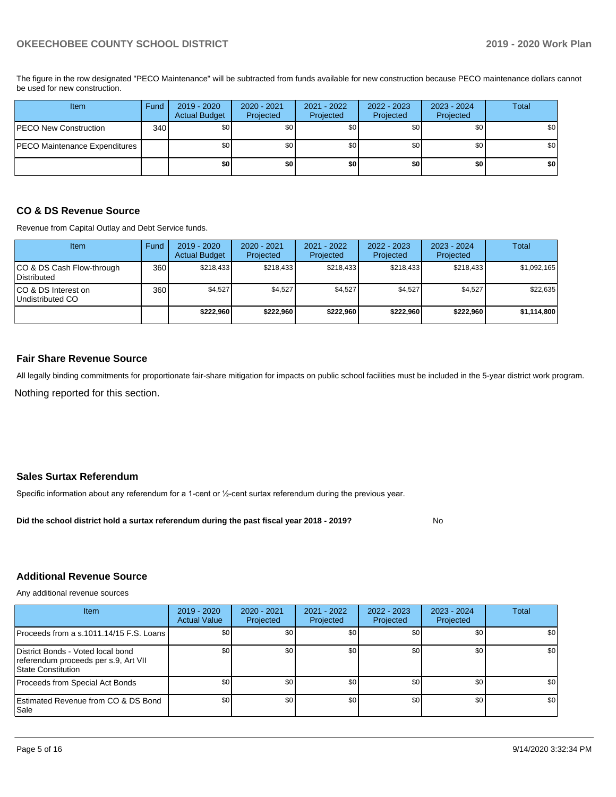The figure in the row designated "PECO Maintenance" will be subtracted from funds available for new construction because PECO maintenance dollars cannot be used for new construction.

| Item                          | Fund | $2019 - 2020$<br><b>Actual Budget</b> | $2020 - 2021$<br>Projected | 2021 - 2022<br>Projected | 2022 - 2023<br>Projected | 2023 - 2024<br>Projected | Total |
|-------------------------------|------|---------------------------------------|----------------------------|--------------------------|--------------------------|--------------------------|-------|
| PECO New Construction         | 340  | \$0                                   | \$0                        | \$0                      | \$0 <sub>1</sub>         | \$0                      | \$0   |
| PECO Maintenance Expenditures |      | \$0                                   | \$0                        | \$0                      | \$0                      | \$0                      | \$0   |
|                               |      | \$0                                   | \$0                        | \$0                      | \$0                      | \$0                      | \$0   |

## **CO & DS Revenue Source**

Revenue from Capital Outlay and Debt Service funds.

| Item                                      | Fund | $2019 - 2020$<br><b>Actual Budget</b> | 2020 - 2021<br>Projected | 2021 - 2022<br>Projected | $2022 - 2023$<br>Projected | $2023 - 2024$<br>Projected | Total       |
|-------------------------------------------|------|---------------------------------------|--------------------------|--------------------------|----------------------------|----------------------------|-------------|
| ICO & DS Cash Flow-through<br>Distributed | 360  | \$218.433                             | \$218,433                | \$218.433                | \$218.433                  | \$218,433                  | \$1,092,165 |
| ICO & DS Interest on<br>Undistributed CO  | 360  | \$4,527                               | \$4,527                  | \$4,527                  | \$4.527                    | \$4,527                    | \$22,635    |
|                                           |      | \$222,960                             | \$222.960                | \$222.960                | \$222,960                  | \$222.960                  | \$1,114,800 |

### **Fair Share Revenue Source**

Nothing reported for this section. All legally binding commitments for proportionate fair-share mitigation for impacts on public school facilities must be included in the 5-year district work program.

## **Sales Surtax Referendum**

Specific information about any referendum for a 1-cent or ½-cent surtax referendum during the previous year.

**Did the school district hold a surtax referendum during the past fiscal year 2018 - 2019?**

## **Additional Revenue Source**

Any additional revenue sources

| Item                                                                                            | $2019 - 2020$<br><b>Actual Value</b> | $2020 - 2021$<br>Projected | 2021 - 2022<br>Projected | 2022 - 2023<br>Projected | 2023 - 2024<br>Projected | Total |
|-------------------------------------------------------------------------------------------------|--------------------------------------|----------------------------|--------------------------|--------------------------|--------------------------|-------|
| Proceeds from a s.1011.14/15 F.S. Loans I                                                       | \$0                                  | \$0                        | \$0                      | \$0                      | \$0                      | \$0   |
| District Bonds - Voted local bond<br>referendum proceeds per s.9, Art VII<br>State Constitution | \$0                                  | \$0                        | \$0                      | \$0                      | \$0                      | \$0   |
| Proceeds from Special Act Bonds                                                                 | \$0                                  | \$0                        | \$0                      | \$0                      | \$0                      | \$0   |
| Estimated Revenue from CO & DS Bond<br> Sale                                                    | \$0                                  | \$0 <sub>1</sub>           | \$0                      | \$0                      | \$0                      | \$0   |

No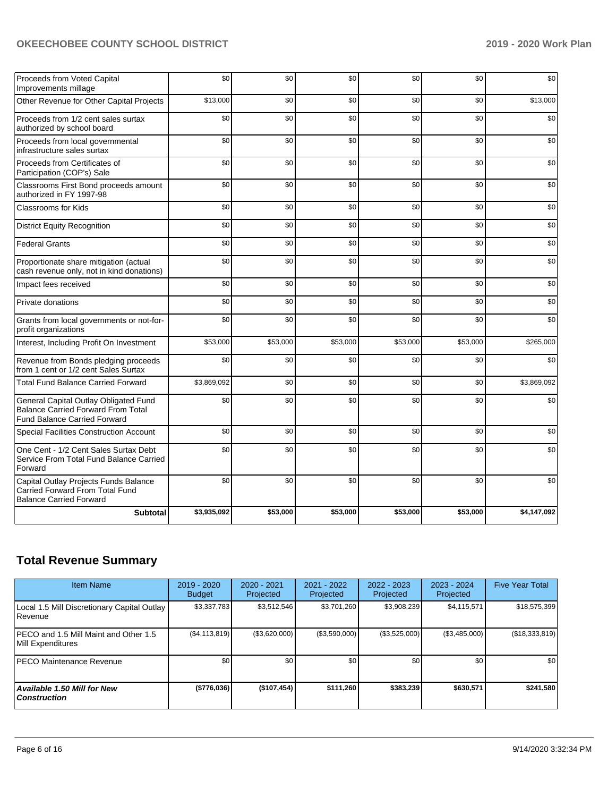| <b>Subtotal</b>                                                                                                           | \$3,935,092 | \$53,000 | \$53,000 | \$53,000 | \$53,000 | \$4,147,092 |
|---------------------------------------------------------------------------------------------------------------------------|-------------|----------|----------|----------|----------|-------------|
| Capital Outlay Projects Funds Balance<br>Carried Forward From Total Fund<br><b>Balance Carried Forward</b>                | \$0         | \$0      | \$0      | \$0      | \$0      | \$0         |
| One Cent - 1/2 Cent Sales Surtax Debt<br>Service From Total Fund Balance Carried<br>Forward                               | \$0         | \$0      | \$0      | \$0      | \$0      | \$0         |
| <b>Special Facilities Construction Account</b>                                                                            | \$0         | \$0      | \$0      | \$0      | \$0      | \$0         |
| General Capital Outlay Obligated Fund<br><b>Balance Carried Forward From Total</b><br><b>Fund Balance Carried Forward</b> | \$0         | \$0      | \$0      | \$0      | \$0      | \$0         |
| <b>Total Fund Balance Carried Forward</b>                                                                                 | \$3,869,092 | \$0      | \$0      | \$0      | \$0      | \$3,869,092 |
| Revenue from Bonds pledging proceeds<br>from 1 cent or 1/2 cent Sales Surtax                                              | \$0         | \$0      | \$0      | \$0      | \$0      | \$0         |
| Interest, Including Profit On Investment                                                                                  | \$53,000    | \$53,000 | \$53,000 | \$53,000 | \$53,000 | \$265,000   |
| Grants from local governments or not-for-<br>profit organizations                                                         | \$0         | \$0      | \$0      | \$0      | \$0      | \$0         |
| Private donations                                                                                                         | \$0         | \$0      | \$0      | \$0      | \$0      | \$0         |
| Impact fees received                                                                                                      | \$0         | \$0      | \$0      | \$0      | \$0      | \$0         |
| Proportionate share mitigation (actual<br>cash revenue only, not in kind donations)                                       | \$0         | \$0      | \$0      | \$0      | \$0      | \$0         |
| <b>Federal Grants</b>                                                                                                     | \$0         | \$0      | \$0      | \$0      | \$0      | \$0         |
| <b>District Equity Recognition</b>                                                                                        | \$0         | \$0      | \$0      | \$0      | \$0      | \$0         |
| Classrooms for Kids                                                                                                       | \$0         | \$0      | \$0      | \$0      | \$0      | \$0         |
| Classrooms First Bond proceeds amount<br>authorized in FY 1997-98                                                         | \$0         | \$0      | \$0      | \$0      | \$0      | \$0         |
| Proceeds from Certificates of<br>Participation (COP's) Sale                                                               | \$0         | \$0      | \$0      | \$0      | \$0      | \$0         |
| Proceeds from local governmental<br>infrastructure sales surtax                                                           | \$0         | \$0      | \$0      | \$0      | \$0      | \$0         |
| Proceeds from 1/2 cent sales surtax<br>authorized by school board                                                         | \$0         | \$0      | \$0      | \$0      | \$0      | \$0         |
| Other Revenue for Other Capital Projects                                                                                  | \$13,000    | \$0      | \$0      | \$0      | \$0      | \$13,000    |
| Proceeds from Voted Capital<br>Improvements millage                                                                       | \$0         | \$0      | \$0      | \$0      | \$0      | \$0         |

## **Total Revenue Summary**

| Item Name                                                         | $2019 - 2020$<br><b>Budget</b> | 2020 - 2021<br>Projected | 2021 - 2022<br>Projected | 2022 - 2023<br>Projected | 2023 - 2024<br>Projected | <b>Five Year Total</b> |
|-------------------------------------------------------------------|--------------------------------|--------------------------|--------------------------|--------------------------|--------------------------|------------------------|
| Local 1.5 Mill Discretionary Capital Outlay<br><b>Revenue</b>     | \$3,337,783                    | \$3,512,546              | \$3,701,260              | \$3,908,239              | \$4,115,571              | \$18,575,399           |
| <b>PECO</b> and 1.5 Mill Maint and Other 1.5<br>Mill Expenditures | (S4, 113, 819)                 | (\$3,620,000)            | (\$3,590,000)            | (\$3,525,000)            | (\$3,485,000)            | (\$18,333,819)         |
| <b>PECO Maintenance Revenue</b>                                   | \$0 <sub>1</sub>               | \$0                      | \$0                      | \$0                      | \$0                      | \$0                    |
| <b>Available 1.50 Mill for New</b><br>  Construction              | (\$776,036)                    | (\$107,454)              | \$111.260                | \$383.239                | \$630.571                | \$241,580              |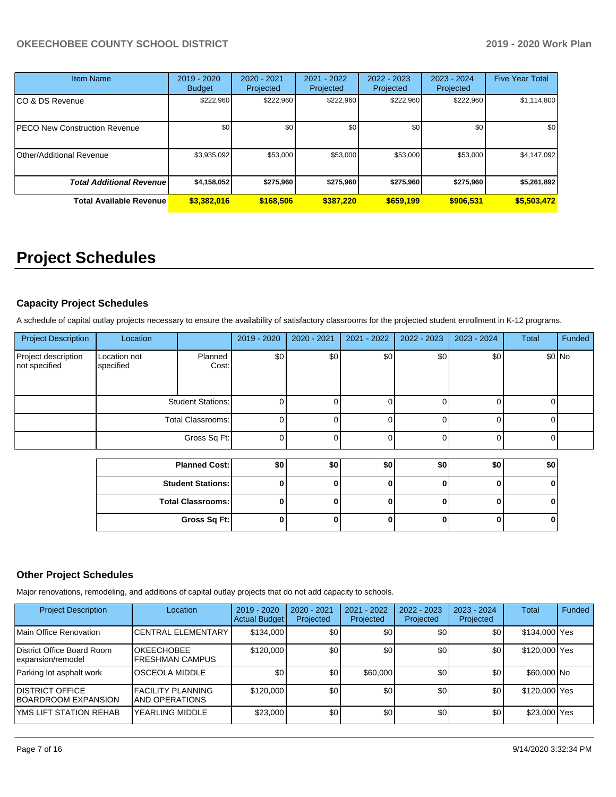| <b>Item Name</b>                 | 2019 - 2020<br><b>Budget</b> | 2020 - 2021<br>Projected | 2021 - 2022<br>Projected | $2022 - 2023$<br>Projected | 2023 - 2024<br>Projected | <b>Five Year Total</b> |
|----------------------------------|------------------------------|--------------------------|--------------------------|----------------------------|--------------------------|------------------------|
| CO & DS Revenue                  | \$222,960                    | \$222,960                | \$222,960                | \$222,960                  | \$222,960                | \$1,114,800            |
| PECO New Construction Revenue    | \$0                          | \$0                      | \$0                      | \$0                        | \$0                      | \$0                    |
| Other/Additional Revenue         | \$3,935,092                  | \$53,000                 | \$53,000                 | \$53,000                   | \$53,000                 | \$4,147,092            |
| <b>Total Additional Revenuel</b> | \$4,158,052                  | \$275,960                | \$275,960                | \$275,960                  | \$275,960                | \$5,261,892            |
| <b>Total Available Revenue</b>   | \$3,382,016                  | \$168,506                | \$387.220                | \$659,199                  | \$906,531                | \$5,503,472            |

# **Project Schedules**

## **Capacity Project Schedules**

A schedule of capital outlay projects necessary to ensure the availability of satisfactory classrooms for the projected student enrollment in K-12 programs.

| <b>Project Description</b>           | Location                  |                          | 2019 - 2020 | 2020 - 2021 | $2021 - 2022$ | 2022 - 2023 | 2023 - 2024 | <b>Total</b> | Funded  |
|--------------------------------------|---------------------------|--------------------------|-------------|-------------|---------------|-------------|-------------|--------------|---------|
| Project description<br>not specified | Location not<br>specified | Planned<br>Cost:         | \$0         | \$0         | \$0           | \$0         | \$0         |              | $$0$ No |
|                                      |                           | <b>Student Stations:</b> | 0           |             |               |             |             |              |         |
|                                      |                           | <b>Total Classrooms:</b> | 0           |             |               |             |             |              |         |
|                                      |                           | Gross Sq Ft:             | 0           |             |               | U           |             |              |         |
|                                      |                           |                          |             |             |               |             |             |              |         |
|                                      |                           | <b>Planned Cost:</b>     | \$0         | \$0         | \$0           | \$0         | \$0         | \$0          |         |
|                                      |                           | <b>Student Stations:</b> | 0           |             |               | U           |             |              |         |
|                                      |                           | <b>Total Classrooms:</b> | 0           |             | ŋ             | 0           | O           |              |         |
|                                      |                           | Gross Sq Ft:             | 0           |             |               | 0           |             |              |         |

## **Other Project Schedules**

Major renovations, remodeling, and additions of capital outlay projects that do not add capacity to schools.

| <b>Project Description</b>                      | Location                                          | 2019 - 2020<br><b>Actual Budget</b> | 2020 - 2021<br>Projected | $2021 - 2022$<br>Projected | 2022 - 2023<br>Projected | 2023 - 2024<br>Projected | <b>Total</b>  | Funded |
|-------------------------------------------------|---------------------------------------------------|-------------------------------------|--------------------------|----------------------------|--------------------------|--------------------------|---------------|--------|
| Main Office Renovation                          | <b>ICENTRAL ELEMENTARY</b>                        | \$134,000                           | \$0                      | \$0                        | \$0                      | \$0                      | \$134,000 Yes |        |
| District Office Board Room<br>expansion/remodel | <b>IOKEECHOBEE</b><br><b>FRESHMAN CAMPUS</b>      | \$120,000                           | \$0 <sub>1</sub>         | \$0                        | \$0                      | \$0                      | \$120,000 Yes |        |
| Parking lot asphalt work                        | <b>OSCEOLA MIDDLE</b>                             | \$0                                 | \$0                      | \$60,000                   | \$0                      | \$0                      | \$60,000 No   |        |
| <b>DISTRICT OFFICE</b><br>BOARDROOM EXPANSION   | <b>FACILITY PLANNING</b><br><b>AND OPERATIONS</b> | \$120,000                           | \$0                      | \$0                        | \$0                      | ا 30                     | \$120,000 Yes |        |
| 'YMS LIFT STATION REHAB                         | YEARLING MIDDLE                                   | \$23,000                            | \$0                      | \$0                        | \$0                      | \$0                      | \$23,000 Yes  |        |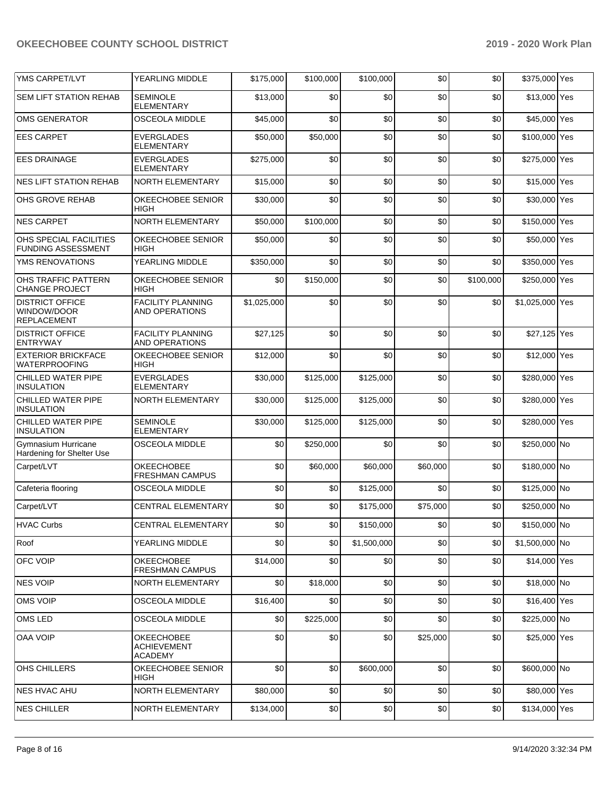| YMS CARPET/LVT                                              | YEARLING MIDDLE                                           | \$175,000   | \$100,000 | \$100,000   | \$0      | \$0       | \$375,000 Yes   |  |
|-------------------------------------------------------------|-----------------------------------------------------------|-------------|-----------|-------------|----------|-----------|-----------------|--|
| <b>SEM LIFT STATION REHAB</b>                               | <b>SEMINOLE</b><br><b>ELEMENTARY</b>                      | \$13,000    | \$0       | \$0         | \$0      | \$0       | \$13,000 Yes    |  |
| <b>OMS GENERATOR</b>                                        | <b>OSCEOLA MIDDLE</b>                                     | \$45,000    | \$0       | \$0         | \$0      | \$0       | \$45,000 Yes    |  |
| <b>EES CARPET</b>                                           | <b>EVERGLADES</b><br><b>ELEMENTARY</b>                    | \$50,000    | \$50,000  | \$0         | \$0      | \$0       | \$100,000 Yes   |  |
| <b>EES DRAINAGE</b>                                         | <b>EVERGLADES</b><br><b>ELEMENTARY</b>                    | \$275,000   | \$0       | \$0         | \$0      | \$0       | \$275,000 Yes   |  |
| <b>NES LIFT STATION REHAB</b>                               | <b>NORTH ELEMENTARY</b>                                   | \$15,000    | \$0       | \$0         | \$0      | \$0       | \$15,000 Yes    |  |
| OHS GROVE REHAB                                             | OKEECHOBEE SENIOR<br>HIGH                                 | \$30,000    | \$0       | \$0         | \$0      | \$0       | \$30,000 Yes    |  |
| <b>NES CARPET</b>                                           | NORTH ELEMENTARY                                          | \$50,000    | \$100,000 | \$0         | \$0      | \$0       | \$150,000 Yes   |  |
| OHS SPECIAL FACILITIES<br><b>FUNDING ASSESSMENT</b>         | OKEECHOBEE SENIOR<br><b>HIGH</b>                          | \$50,000    | \$0       | \$0         | \$0      | \$0       | \$50,000 Yes    |  |
| YMS RENOVATIONS                                             | YEARLING MIDDLE                                           | \$350,000   | \$0       | \$0         | \$0      | \$0       | \$350,000 Yes   |  |
| OHS TRAFFIC PATTERN<br><b>CHANGE PROJECT</b>                | OKEECHOBEE SENIOR<br>HIGH                                 | \$0         | \$150,000 | \$0         | \$0      | \$100,000 | \$250,000 Yes   |  |
| <b>DISTRICT OFFICE</b><br>WINDOW/DOOR<br><b>REPLACEMENT</b> | <b>FACILITY PLANNING</b><br>AND OPERATIONS                | \$1,025,000 | \$0       | \$0         | \$0      | \$0       | \$1,025,000 Yes |  |
| <b>DISTRICT OFFICE</b><br><b>ENTRYWAY</b>                   | <b>FACILITY PLANNING</b><br><b>AND OPERATIONS</b>         | \$27,125    | \$0       | \$0         | \$0      | \$0       | \$27,125 Yes    |  |
| <b>EXTERIOR BRICKFACE</b><br><b>WATERPROOFING</b>           | OKEECHOBEE SENIOR<br><b>HIGH</b>                          | \$12,000    | \$0       | \$0         | \$0      | \$0       | \$12,000 Yes    |  |
| CHILLED WATER PIPE<br><b>INSULATION</b>                     | <b>EVERGLADES</b><br><b>ELEMENTARY</b>                    | \$30,000    | \$125,000 | \$125,000   | \$0      | \$0       | \$280,000 Yes   |  |
| CHILLED WATER PIPE<br><b>INSULATION</b>                     | <b>NORTH ELEMENTARY</b>                                   | \$30,000    | \$125,000 | \$125,000   | \$0      | \$0       | \$280,000 Yes   |  |
| CHILLED WATER PIPE<br><b>INSULATION</b>                     | <b>SEMINOLE</b><br><b>ELEMENTARY</b>                      | \$30,000    | \$125,000 | \$125,000   | \$0      | \$0       | \$280,000 Yes   |  |
| <b>Gymnasium Hurricane</b><br>Hardening for Shelter Use     | <b>OSCEOLA MIDDLE</b>                                     | \$0         | \$250,000 | \$0         | \$0      | \$0       | \$250,000 No    |  |
| Carpet/LVT                                                  | <b>OKEECHOBEE</b><br><b>FRESHMAN CAMPUS</b>               | \$0         | \$60,000  | \$60,000    | \$60,000 | \$0       | \$180,000 No    |  |
| Cafeteria flooring                                          | <b>OSCEOLA MIDDLE</b>                                     | \$0         | \$0       | \$125,000   | \$0      | \$0       | \$125,000 No    |  |
| Carpet/LVT                                                  | <b>CENTRAL ELEMENTARY</b>                                 | \$0         | \$0       | \$175,000   | \$75,000 | \$0       | \$250,000 No    |  |
| <b>HVAC Curbs</b>                                           | CENTRAL ELEMENTARY                                        | \$0         | \$0       | \$150,000   | \$0      | \$0       | \$150,000 No    |  |
| Roof                                                        | YEARLING MIDDLE                                           | \$0         | \$0       | \$1,500,000 | \$0      | \$0       | \$1,500,000 No  |  |
| OFC VOIP                                                    | OKEECHOBEE<br><b>FRESHMAN CAMPUS</b>                      | \$14,000    | \$0       | \$0         | \$0      | \$0       | \$14,000 Yes    |  |
| NES VOIP                                                    | NORTH ELEMENTARY                                          | \$0         | \$18,000  | \$0         | \$0      | \$0       | \$18,000 No     |  |
| <b>OMS VOIP</b>                                             | <b>OSCEOLA MIDDLE</b>                                     | \$16,400    | \$0       | \$0         | \$0      | \$0       | \$16,400 Yes    |  |
| OMS LED                                                     | <b>OSCEOLA MIDDLE</b>                                     | \$0         | \$225,000 | \$0         | \$0      | \$0       | \$225,000 No    |  |
| <b>OAA VOIP</b>                                             | <b>OKEECHOBEE</b><br><b>ACHIEVEMENT</b><br><b>ACADEMY</b> | \$0         | \$0       | \$0         | \$25,000 | \$0       | \$25,000 Yes    |  |
| OHS CHILLERS                                                | OKEECHOBEE SENIOR<br>HIGH                                 | \$0         | \$0       | \$600,000   | \$0      | \$0       | \$600,000 No    |  |
| NES HVAC AHU                                                | NORTH ELEMENTARY                                          | \$80,000    | \$0       | \$0         | \$0      | \$0       | \$80,000 Yes    |  |
| <b>NES CHILLER</b>                                          | NORTH ELEMENTARY                                          | \$134,000   | \$0       | \$0         | \$0      | \$0       | \$134,000 Yes   |  |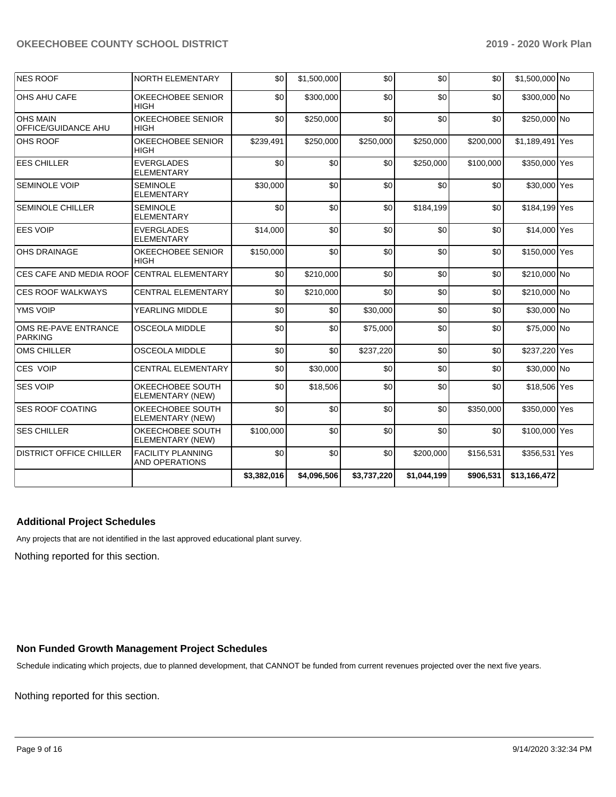| <b>NES ROOF</b>                        | NORTH ELEMENTARY                                  | \$0         | \$1,500,000 | \$0         | \$0         | \$0       | \$1,500,000 No  |  |
|----------------------------------------|---------------------------------------------------|-------------|-------------|-------------|-------------|-----------|-----------------|--|
| OHS AHU CAFE                           | OKEECHOBEE SENIOR<br><b>HIGH</b>                  | \$0         | \$300,000   | \$0         | \$0         | \$0       | \$300,000 No    |  |
| <b>OHS MAIN</b><br>OFFICE/GUIDANCE AHU | <b>OKEECHOBEE SENIOR</b><br><b>HIGH</b>           | \$0         | \$250,000   | \$0         | \$0         | \$0       | \$250,000 No    |  |
| OHS ROOF                               | OKEECHOBEE SENIOR<br><b>HIGH</b>                  | \$239,491   | \$250,000   | \$250,000   | \$250,000   | \$200.000 | \$1,189,491 Yes |  |
| <b>EES CHILLER</b>                     | <b>EVERGLADES</b><br><b>ELEMENTARY</b>            | \$0         | \$0         | \$0         | \$250,000   | \$100,000 | \$350,000 Yes   |  |
| <b>SEMINOLE VOIP</b>                   | <b>SEMINOLE</b><br><b>ELEMENTARY</b>              | \$30,000    | \$0         | \$0         | \$0         | \$0       | \$30,000 Yes    |  |
| <b>SEMINOLE CHILLER</b>                | <b>SEMINOLE</b><br><b>ELEMENTARY</b>              | \$0         | \$0         | \$0         | \$184,199   | \$0       | \$184,199 Yes   |  |
| <b>EES VOIP</b>                        | <b>EVERGLADES</b><br><b>ELEMENTARY</b>            | \$14,000    | \$0         | \$0         | \$0         | \$0       | \$14,000 Yes    |  |
| <b>OHS DRAINAGE</b>                    | <b>OKEECHOBEE SENIOR</b><br><b>HIGH</b>           | \$150,000   | \$0         | \$0         | \$0         | \$0       | \$150,000 Yes   |  |
| CES CAFE AND MEDIA ROOF                | <b>CENTRAL ELEMENTARY</b>                         | \$0         | \$210,000   | \$0         | \$0         | \$0       | \$210,000 No    |  |
| <b>CES ROOF WALKWAYS</b>               | <b>CENTRAL ELEMENTARY</b>                         | \$0         | \$210,000   | \$0         | \$0         | \$0       | \$210,000 No    |  |
| YMS VOIP                               | YEARLING MIDDLE                                   | \$0         | \$0         | \$30,000    | \$0         | \$0       | \$30,000 No     |  |
| OMS RE-PAVE ENTRANCE<br><b>PARKING</b> | <b>OSCEOLA MIDDLE</b>                             | \$0         | \$0         | \$75,000    | \$0         | \$0       | \$75,000 No     |  |
| <b>OMS CHILLER</b>                     | <b>OSCEOLA MIDDLE</b>                             | \$0         | \$0         | \$237,220   | \$0         | \$0       | \$237,220 Yes   |  |
| <b>CES VOIP</b>                        | <b>CENTRAL ELEMENTARY</b>                         | \$0         | \$30,000    | \$0         | \$0         | \$0       | \$30,000 No     |  |
| <b>SES VOIP</b>                        | OKEECHOBEE SOUTH<br>ELEMENTARY (NEW)              | \$0         | \$18,506    | \$0         | \$0         | \$0       | \$18,506 Yes    |  |
| <b>SES ROOF COATING</b>                | OKEECHOBEE SOUTH<br>ELEMENTARY (NEW)              | \$0         | \$0         | \$0         | \$0         | \$350,000 | \$350,000 Yes   |  |
| <b>SES CHILLER</b>                     | OKEECHOBEE SOUTH<br>ELEMENTARY (NEW)              | \$100,000   | \$0         | \$0         | \$0         | \$0       | \$100,000 Yes   |  |
| <b>DISTRICT OFFICE CHILLER</b>         | <b>FACILITY PLANNING</b><br><b>AND OPERATIONS</b> | \$0         | \$0         | \$0         | \$200,000   | \$156,531 | \$356,531 Yes   |  |
|                                        |                                                   | \$3,382,016 | \$4,096,506 | \$3,737,220 | \$1,044,199 | \$906,531 | \$13,166,472    |  |

## **Additional Project Schedules**

Any projects that are not identified in the last approved educational plant survey.

Nothing reported for this section.

## **Non Funded Growth Management Project Schedules**

Schedule indicating which projects, due to planned development, that CANNOT be funded from current revenues projected over the next five years.

Nothing reported for this section.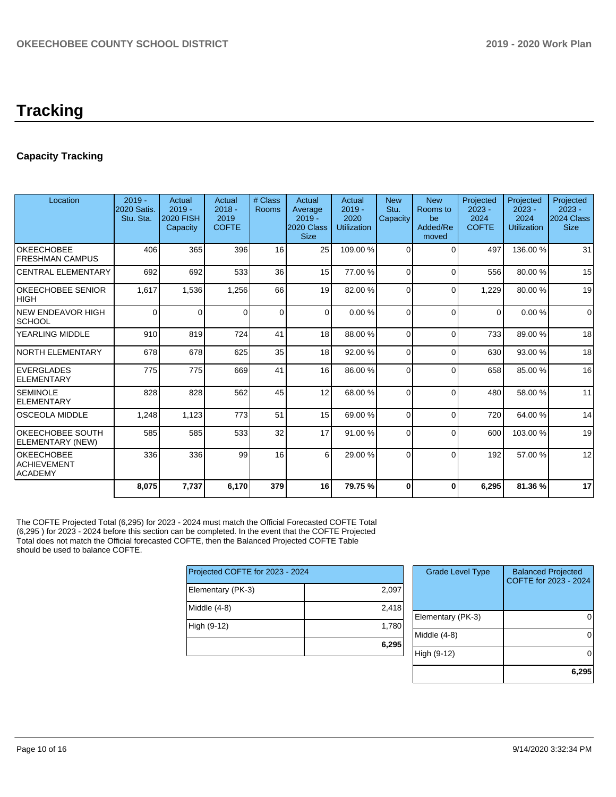# **Tracking**

## **Capacity Tracking**

| Location                                           | $2019 -$<br>2020 Satis.<br>Stu. Sta. | Actual<br>$2019 -$<br><b>2020 FISH</b><br>Capacity | Actual<br>$2018 -$<br>2019<br><b>COFTE</b> | # Class<br>Rooms | Actual<br>Average<br>$2019 -$<br>2020 Class<br><b>Size</b> | Actual<br>$2019 -$<br>2020<br><b>Utilization</b> | <b>New</b><br>Stu.<br>Capacity | <b>New</b><br>Rooms to<br>be<br>Added/Re<br>moved | Projected<br>$2023 -$<br>2024<br><b>COFTE</b> | Projected<br>$2023 -$<br>2024<br><b>Utilization</b> | Projected<br>$2023 -$<br>2024 Class<br><b>Size</b> |
|----------------------------------------------------|--------------------------------------|----------------------------------------------------|--------------------------------------------|------------------|------------------------------------------------------------|--------------------------------------------------|--------------------------------|---------------------------------------------------|-----------------------------------------------|-----------------------------------------------------|----------------------------------------------------|
| <b>OKEECHOBEE</b><br><b>FRESHMAN CAMPUS</b>        | 406                                  | 365                                                | 396                                        | 16               | 25                                                         | 109.00%                                          | $\Omega$                       | $\Omega$                                          | 497                                           | 136.00%                                             | 31                                                 |
| <b>CENTRAL ELEMENTARY</b>                          | 692                                  | 692                                                | 533                                        | 36               | 15                                                         | 77.00 %                                          | $\Omega$                       | $\Omega$                                          | 556                                           | 80.00%                                              | 15                                                 |
| <b>OKEECHOBEE SENIOR</b><br><b>HIGH</b>            | 1,617                                | 1,536                                              | 1,256                                      | 66               | 19                                                         | 82.00 %                                          | $\Omega$                       | $\Omega$                                          | 1,229                                         | 80.00 %                                             | 19                                                 |
| <b>NEW ENDEAVOR HIGH</b><br> SCHOOL                | $\Omega$                             |                                                    | $\Omega$                                   | $\Omega$         | $\Omega$                                                   | 0.00%                                            | $\Omega$                       | $\Omega$                                          | $\Omega$                                      | 0.00%                                               | $\overline{0}$                                     |
| <b>YEARLING MIDDLE</b>                             | 910                                  | 819                                                | 724                                        | 41               | 18 <sup>1</sup>                                            | 88.00 %                                          | $\Omega$                       | $\Omega$                                          | 733                                           | 89.00 %                                             | 18                                                 |
| NORTH ELEMENTARY                                   | 678                                  | 678                                                | 625                                        | 35               | 18                                                         | 92.00 %                                          | $\Omega$                       | $\Omega$                                          | 630                                           | 93.00 %                                             | 18                                                 |
| EVERGLADES<br>ELEMENTARY                           | 775                                  | 775                                                | 669                                        | 41               | 16                                                         | 86.00 %                                          | $\Omega$                       | $\Omega$                                          | 658                                           | 85.00 %                                             | 16                                                 |
| <b>SEMINOLE</b><br>ELEMENTARY                      | 828                                  | 828                                                | 562                                        | 45               | 12                                                         | 68.00 %                                          | $\Omega$                       | $\Omega$                                          | 480                                           | 58.00 %                                             | 11                                                 |
| <b>OSCEOLA MIDDLE</b>                              | 1,248                                | 1,123                                              | 773                                        | 51               | 15                                                         | 69.00 %                                          | $\Omega$                       | $\Omega$                                          | 720                                           | 64.00 %                                             | 14                                                 |
| OKEECHOBEE SOUTH<br>ELEMENTARY (NEW)               | 585                                  | 585                                                | 533                                        | 32               | 17                                                         | 91.00 %                                          | $\Omega$                       | $\Omega$                                          | 600                                           | 103.00%                                             | 19                                                 |
| <b>OKEECHOBEE</b><br>ACHIEVEMENT<br><b>ACADEMY</b> | 336                                  | 336                                                | 99                                         | 16               | 6                                                          | 29.00 %                                          | 0                              | $\Omega$                                          | 192                                           | 57.00 %                                             | 12                                                 |
|                                                    | 8,075                                | 7,737                                              | 6,170                                      | 379              | 16                                                         | 79.75 %                                          | $\mathbf{0}$                   | $\bf{0}$                                          | 6,295                                         | 81.36%                                              | 17                                                 |

The COFTE Projected Total (6,295) for 2023 - 2024 must match the Official Forecasted COFTE Total (6,295 ) for 2023 - 2024 before this section can be completed. In the event that the COFTE Projected Total does not match the Official forecasted COFTE, then the Balanced Projected COFTE Table should be used to balance COFTE.

| Projected COFTE for 2023 - 2024 |       |  |  |  |  |  |
|---------------------------------|-------|--|--|--|--|--|
| Elementary (PK-3)               | 2,097 |  |  |  |  |  |
| Middle (4-8)                    | 2,418 |  |  |  |  |  |
| High (9-12)                     | 1,780 |  |  |  |  |  |
|                                 | 6,295 |  |  |  |  |  |

| <b>Grade Level Type</b> | <b>Balanced Projected</b><br>COFTE for 2023 - 2024 |
|-------------------------|----------------------------------------------------|
| Elementary (PK-3)       |                                                    |
| Middle (4-8)            |                                                    |
| High (9-12)             |                                                    |
|                         | 6,295                                              |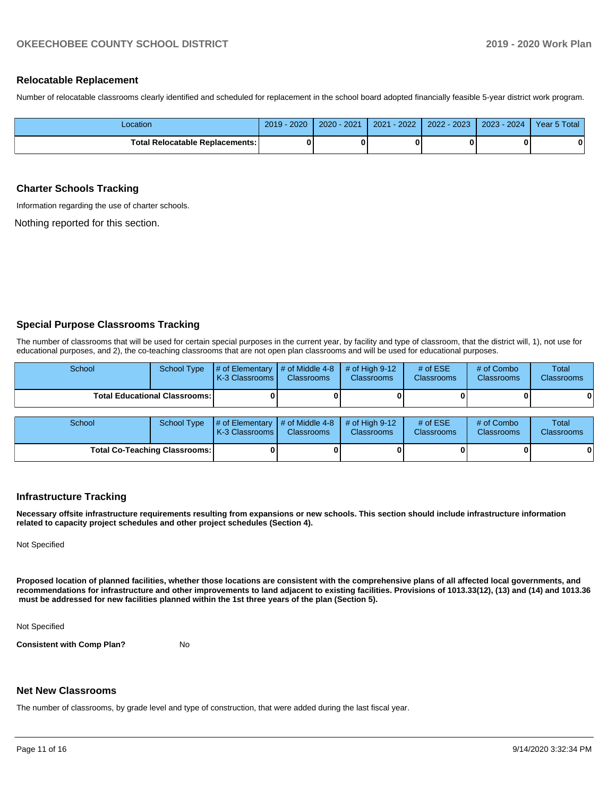#### **Relocatable Replacement**

Number of relocatable classrooms clearly identified and scheduled for replacement in the school board adopted financially feasible 5-year district work program.

| -ocation                               | $-2020$<br>$2019 -$ | 2020 - 2021 | $-2022$<br>2021 | 2022 - 2023 | $2023 - 2024$ | Year 5 Total |
|----------------------------------------|---------------------|-------------|-----------------|-------------|---------------|--------------|
| <b>Total Relocatable Replacements:</b> |                     |             |                 |             |               | 0            |

#### **Charter Schools Tracking**

Information regarding the use of charter schools.

Nothing reported for this section.

### **Special Purpose Classrooms Tracking**

The number of classrooms that will be used for certain special purposes in the current year, by facility and type of classroom, that the district will, 1), not use for educational purposes, and 2), the co-teaching classrooms that are not open plan classrooms and will be used for educational purposes.

| School                               | <b>School Type</b>                   | # of Elementary<br>K-3 Classrooms        | # of Middle 4-8<br><b>Classrooms</b> | # of High $9-12$<br><b>Classrooms</b> | # of $ESE$<br><b>Classrooms</b> | # of Combo<br><b>Classrooms</b> | Total<br>Classrooms        |
|--------------------------------------|--------------------------------------|------------------------------------------|--------------------------------------|---------------------------------------|---------------------------------|---------------------------------|----------------------------|
|                                      | <b>Total Educational Classrooms:</b> |                                          |                                      |                                       |                                 |                                 | 0                          |
|                                      |                                      |                                          |                                      |                                       |                                 |                                 |                            |
| School                               | <b>School Type</b>                   | # of Elementary<br><b>K-3 Classrooms</b> | # of Middle 4-8<br><b>Classrooms</b> | # of High $9-12$<br>Classrooms        | # of $ESE$<br><b>Classrooms</b> | # of Combo<br><b>Classrooms</b> | <b>Total</b><br>Classrooms |
| <b>Total Co-Teaching Classrooms:</b> |                                      |                                          |                                      |                                       |                                 | 0                               |                            |

### **Infrastructure Tracking**

**Necessary offsite infrastructure requirements resulting from expansions or new schools. This section should include infrastructure information related to capacity project schedules and other project schedules (Section 4).** 

Not Specified

**Proposed location of planned facilities, whether those locations are consistent with the comprehensive plans of all affected local governments, and recommendations for infrastructure and other improvements to land adjacent to existing facilities. Provisions of 1013.33(12), (13) and (14) and 1013.36 must be addressed for new facilities planned within the 1st three years of the plan (Section 5).** 

Not Specified

**Consistent with Comp Plan?** No

#### **Net New Classrooms**

The number of classrooms, by grade level and type of construction, that were added during the last fiscal year.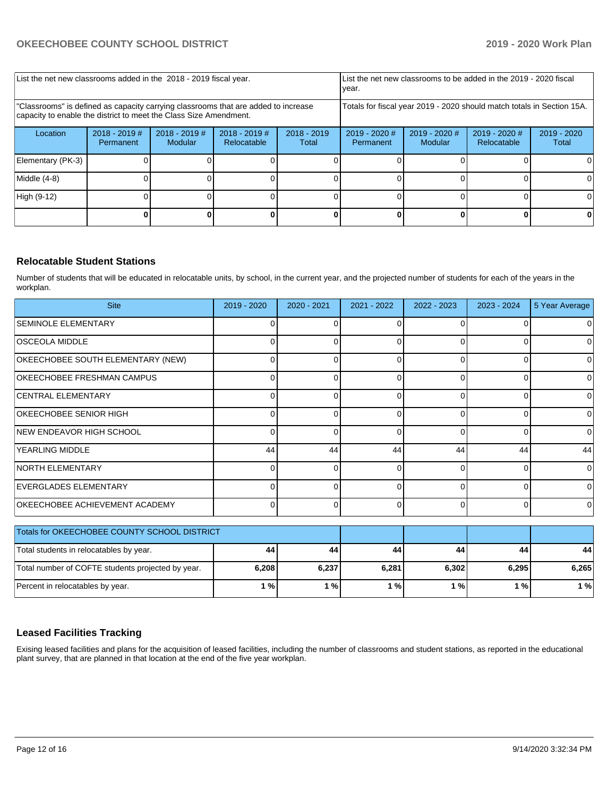| List the net new classrooms added in the 2018 - 2019 fiscal year.                                                                                       |                              |                            |                                |                        | List the net new classrooms to be added in the 2019 - 2020 fiscal<br>year.                                                |  |  |    |  |
|---------------------------------------------------------------------------------------------------------------------------------------------------------|------------------------------|----------------------------|--------------------------------|------------------------|---------------------------------------------------------------------------------------------------------------------------|--|--|----|--|
| "Classrooms" is defined as capacity carrying classrooms that are added to increase<br>capacity to enable the district to meet the Class Size Amendment. |                              |                            |                                |                        | Totals for fiscal year 2019 - 2020 should match totals in Section 15A.                                                    |  |  |    |  |
| Location                                                                                                                                                | $2018 - 2019$ #<br>Permanent | $2018 - 2019$ #<br>Modular | $2018 - 2019$ #<br>Relocatable | $2018 - 2019$<br>Total | $2019 - 2020$ #<br>$2019 - 2020$ #<br>2019 - 2020 #<br>2019 - 2020<br>Relocatable<br><b>Modular</b><br>Permanent<br>Total |  |  |    |  |
| Elementary (PK-3)                                                                                                                                       |                              |                            |                                |                        |                                                                                                                           |  |  | 0  |  |
| Middle (4-8)                                                                                                                                            |                              |                            |                                |                        |                                                                                                                           |  |  | 0  |  |
| High (9-12)                                                                                                                                             |                              |                            |                                |                        |                                                                                                                           |  |  | O. |  |
|                                                                                                                                                         |                              |                            |                                |                        |                                                                                                                           |  |  |    |  |

## **Relocatable Student Stations**

Number of students that will be educated in relocatable units, by school, in the current year, and the projected number of students for each of the years in the workplan.

| <b>Site</b>                       | $2019 - 2020$ | $2020 - 2021$ | 2021 - 2022 | $2022 - 2023$ | $2023 - 2024$ | 5 Year Average |
|-----------------------------------|---------------|---------------|-------------|---------------|---------------|----------------|
| <b>SEMINOLE ELEMENTARY</b>        |               |               | 0           |               |               | 0              |
| <b>OSCEOLA MIDDLE</b>             |               |               | 0           | $\Omega$      |               | $\Omega$       |
| OKEECHOBEE SOUTH ELEMENTARY (NEW) |               |               | $\Omega$    | $\Omega$      |               | 0              |
| OKEECHOBEE FRESHMAN CAMPUS        |               |               | U           |               |               | 0              |
| <b>CENTRAL ELEMENTARY</b>         |               |               | $\Omega$    |               |               | 0              |
| OKEECHOBEE SENIOR HIGH            | $\Omega$      |               | $\Omega$    | $\Omega$      |               | 0              |
| NEW ENDEAVOR HIGH SCHOOL          |               |               | 0           | 0             |               | $\overline{0}$ |
| <b>YEARLING MIDDLE</b>            | 44            | 44            | 44          | 44            | 44            | 44             |
| <b>NORTH ELEMENTARY</b>           | $\Omega$      |               | $\Omega$    | $\Omega$      | $\Omega$      | $\Omega$       |
| EVERGLADES ELEMENTARY             |               |               | 0           | $\Omega$      |               | $\Omega$       |
| OKEECHOBEE ACHIEVEMENT ACADEMY    |               |               | $\Omega$    | $\Omega$      |               | $\Omega$       |

| Totals for OKEECHOBEE COUNTY SCHOOL DISTRICT      |       |       |       |       |       |       |
|---------------------------------------------------|-------|-------|-------|-------|-------|-------|
| Total students in relocatables by year.           | 44    | 44    | 44    | 44    | 44    | 44    |
| Total number of COFTE students projected by year. | 6,208 | 6.237 | 6,281 | 6.302 | 6.295 | 6.265 |
| Percent in relocatables by year.                  | 1%    | %     | ്%    | %     | 1 % I | 1 %   |

### **Leased Facilities Tracking**

Exising leased facilities and plans for the acquisition of leased facilities, including the number of classrooms and student stations, as reported in the educational plant survey, that are planned in that location at the end of the five year workplan.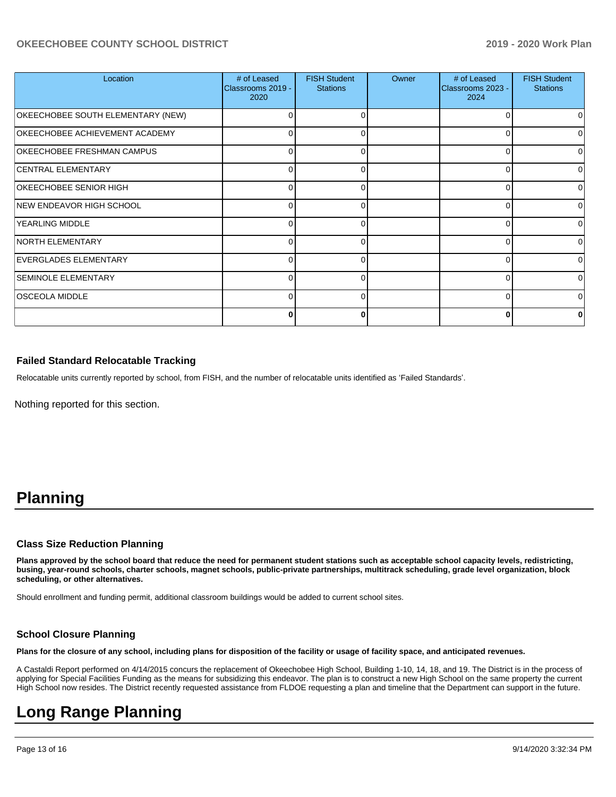| Location                              | # of Leased<br>Classrooms 2019 -<br>2020 | <b>FISH Student</b><br><b>Stations</b> | Owner | # of Leased<br>Classrooms 2023 -<br>2024 | <b>FISH Student</b><br><b>Stations</b> |
|---------------------------------------|------------------------------------------|----------------------------------------|-------|------------------------------------------|----------------------------------------|
| OKEECHOBEE SOUTH ELEMENTARY (NEW)     | 0                                        | $\Omega$                               |       | 0                                        | <sup>0</sup>                           |
| <b>OKEECHOBEE ACHIEVEMENT ACADEMY</b> | 0                                        | 0                                      |       | 0                                        |                                        |
| OKEECHOBEE FRESHMAN CAMPUS            | 0                                        | $\Omega$                               |       | $\Omega$                                 |                                        |
| CENTRAL ELEMENTARY                    | 0                                        | $\Omega$                               |       | 0                                        | $\Omega$                               |
| OKEECHOBEE SENIOR HIGH                | 0                                        | 0                                      |       | 0                                        |                                        |
| NEW ENDEAVOR HIGH SCHOOL              | 0                                        | 0                                      |       | $\Omega$                                 |                                        |
| <b>YEARLING MIDDLE</b>                | ∩                                        | $\Omega$                               |       | 0                                        | <sup>0</sup>                           |
| <b>NORTH ELEMENTARY</b>               | 0                                        | 0                                      |       | 0                                        |                                        |
| EVERGLADES ELEMENTARY                 | 0                                        | 0                                      |       | $\Omega$                                 |                                        |
| <b>SEMINOLE ELEMENTARY</b>            | n                                        | $\Omega$                               |       | $\Omega$                                 | <sup>0</sup>                           |
| <b>OSCEOLA MIDDLE</b>                 | 0                                        | 0                                      |       | $\Omega$                                 |                                        |
|                                       | 0                                        | 0                                      |       | $\bf{0}$                                 |                                        |

## **Failed Standard Relocatable Tracking**

Relocatable units currently reported by school, from FISH, and the number of relocatable units identified as 'Failed Standards'.

Nothing reported for this section.

## **Planning**

#### **Class Size Reduction Planning**

**Plans approved by the school board that reduce the need for permanent student stations such as acceptable school capacity levels, redistricting, busing, year-round schools, charter schools, magnet schools, public-private partnerships, multitrack scheduling, grade level organization, block scheduling, or other alternatives.**

Should enrollment and funding permit, additional classroom buildings would be added to current school sites.

### **School Closure Planning**

**Plans for the closure of any school, including plans for disposition of the facility or usage of facility space, and anticipated revenues.** 

A Castaldi Report performed on 4/14/2015 concurs the replacement of Okeechobee High School, Building 1-10, 14, 18, and 19. The District is in the process of applying for Special Facilities Funding as the means for subsidizing this endeavor. The plan is to construct a new High School on the same property the current High School now resides. The District recently requested assistance from FLDOE requesting a plan and timeline that the Department can support in the future.

## **Long Range Planning**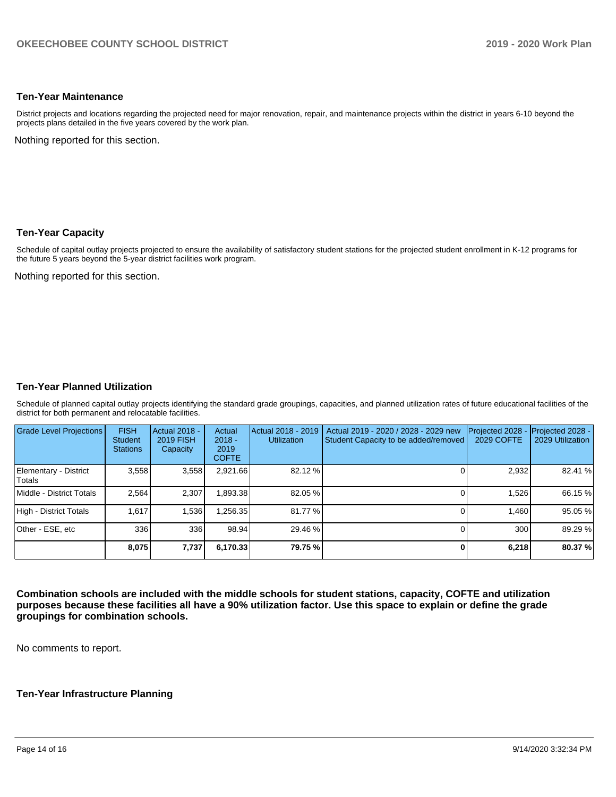## **Ten-Year Maintenance**

District projects and locations regarding the projected need for major renovation, repair, and maintenance projects within the district in years 6-10 beyond the projects plans detailed in the five years covered by the work plan.

Nothing reported for this section.

### **Ten-Year Capacity**

Schedule of capital outlay projects projected to ensure the availability of satisfactory student stations for the projected student enrollment in K-12 programs for the future 5 years beyond the 5-year district facilities work program.

Nothing reported for this section.

### **Ten-Year Planned Utilization**

Schedule of planned capital outlay projects identifying the standard grade groupings, capacities, and planned utilization rates of future educational facilities of the district for both permanent and relocatable facilities.

| <b>Grade Level Projections</b>  | <b>FISH</b><br><b>Student</b><br><b>Stations</b> | Actual 2018 -<br><b>2019 FISH</b><br>Capacity | Actual<br>$2018 -$<br>2019<br><b>COFTE</b> | Actual 2018 - 2019<br><b>Utilization</b> | Actual 2019 - 2020 / 2028 - 2029 new<br>Student Capacity to be added/removed | Projected 2028<br>2029 COFTE | Projected 2028 -<br>2029 Utilization |
|---------------------------------|--------------------------------------------------|-----------------------------------------------|--------------------------------------------|------------------------------------------|------------------------------------------------------------------------------|------------------------------|--------------------------------------|
| Elementary - District<br>Totals | 3.558                                            | 3,558                                         | 2,921.66                                   | 82.12 %                                  |                                                                              | 2,932                        | 82.41 %                              |
| Middle - District Totals        | 2.564                                            | 2,307                                         | ,893.38                                    | 82.05 %                                  |                                                                              | 1,526                        | 66.15 %                              |
| High - District Totals          | 1.617                                            | 1.536                                         | .256.35                                    | 81.77 %                                  |                                                                              | 1.460                        | 95.05%                               |
| Other - ESE, etc                | 336                                              | 336                                           | 98.94                                      | 29.46 %                                  |                                                                              | 300                          | 89.29 %                              |
|                                 | 8,075                                            | 7,737                                         | 6,170.33                                   | 79.75 %                                  |                                                                              | 6,218                        | 80.37 %                              |

**Combination schools are included with the middle schools for student stations, capacity, COFTE and utilization purposes because these facilities all have a 90% utilization factor. Use this space to explain or define the grade groupings for combination schools.** 

No comments to report.

### **Ten-Year Infrastructure Planning**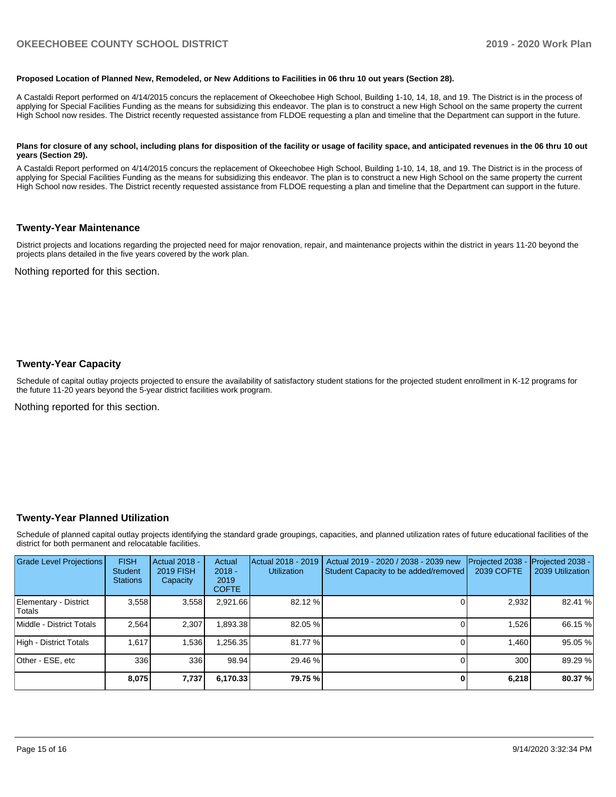#### **Proposed Location of Planned New, Remodeled, or New Additions to Facilities in 06 thru 10 out years (Section 28).**

A Castaldi Report performed on 4/14/2015 concurs the replacement of Okeechobee High School, Building 1-10, 14, 18, and 19. The District is in the process of applying for Special Facilities Funding as the means for subsidizing this endeavor. The plan is to construct a new High School on the same property the current High School now resides. The District recently requested assistance from FLDOE requesting a plan and timeline that the Department can support in the future.

#### Plans for closure of any school, including plans for disposition of the facility or usage of facility space, and anticipated revenues in the 06 thru 10 out **years (Section 29).**

A Castaldi Report performed on 4/14/2015 concurs the replacement of Okeechobee High School, Building 1-10, 14, 18, and 19. The District is in the process of applying for Special Facilities Funding as the means for subsidizing this endeavor. The plan is to construct a new High School on the same property the current High School now resides. The District recently requested assistance from FLDOE requesting a plan and timeline that the Department can support in the future.

#### **Twenty-Year Maintenance**

District projects and locations regarding the projected need for major renovation, repair, and maintenance projects within the district in years 11-20 beyond the projects plans detailed in the five years covered by the work plan.

Nothing reported for this section.

#### **Twenty-Year Capacity**

Schedule of capital outlay projects projected to ensure the availability of satisfactory student stations for the projected student enrollment in K-12 programs for the future 11-20 years beyond the 5-year district facilities work program.

Nothing reported for this section.

#### **Twenty-Year Planned Utilization**

Schedule of planned capital outlay projects identifying the standard grade groupings, capacities, and planned utilization rates of future educational facilities of the district for both permanent and relocatable facilities.

| <b>Grade Level Projections</b>  | <b>FISH</b><br><b>Student</b><br><b>Stations</b> | <b>Actual 2018 -</b><br><b>2019 FISH</b><br>Capacity | Actual<br>$2018 -$<br>2019<br><b>COFTE</b> | Actual 2018 - 2019<br><b>Utilization</b> | Actual 2019 - 2020 / 2038 - 2039 new<br>Student Capacity to be added/removed | Projected 2038<br><b>2039 COFTE</b> | Projected 2038 -<br>2039 Utilization |
|---------------------------------|--------------------------------------------------|------------------------------------------------------|--------------------------------------------|------------------------------------------|------------------------------------------------------------------------------|-------------------------------------|--------------------------------------|
| Elementary - District<br>Totals | 3,558                                            | 3,558                                                | 2,921.66                                   | 82.12 %                                  |                                                                              | 2,932                               | 82.41 %                              |
| Middle - District Totals        | 2.564                                            | 2.307                                                | .893.38                                    | 82.05 %                                  |                                                                              | 1.526                               | 66.15 %                              |
| High - District Totals          | 1.617                                            | 1,536                                                | .256.35                                    | 81.77 %                                  |                                                                              | 1.460                               | 95.05 %                              |
| Other - ESE, etc                | 336                                              | 336                                                  | 98.94                                      | 29.46 %                                  |                                                                              | 300                                 | 89.29 %                              |
|                                 | 8,075                                            | 7,737                                                | 6,170.33                                   | 79.75 %                                  |                                                                              | 6,218                               | 80.37%                               |